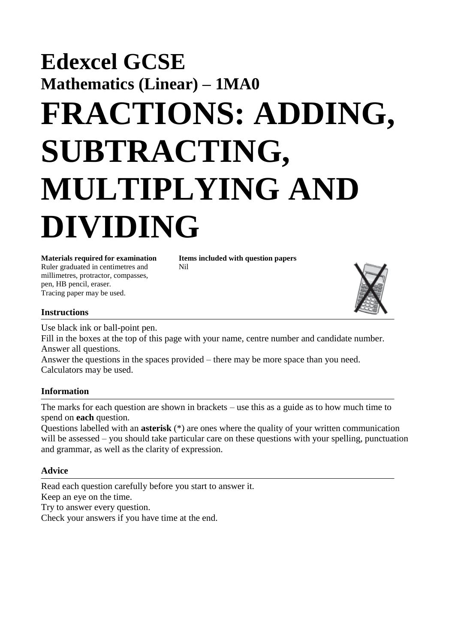## **Edexcel GCSE Mathematics (Linear) – 1MA0 FRACTIONS: ADDING, SUBTRACTING, MULTIPLYING AND DIVIDING**

Ruler graduated in centimetres and Nil millimetres, protractor, compasses, pen, HB pencil, eraser. Tracing paper may be used.

**Materials required for examination Items included with question papers**

## **Instructions**

Use black ink or ball-point pen.

Fill in the boxes at the top of this page with your name, centre number and candidate number. Answer all questions.

Answer the questions in the spaces provided – there may be more space than you need. Calculators may be used.

## **Information**

The marks for each question are shown in brackets – use this as a guide as to how much time to spend on **each** question.

Questions labelled with an **asterisk** (\*) are ones where the quality of your written communication will be assessed – you should take particular care on these questions with your spelling, punctuation and grammar, as well as the clarity of expression.

## **Advice**

Read each question carefully before you start to answer it. Keep an eye on the time. Try to answer every question. Check your answers if you have time at the end.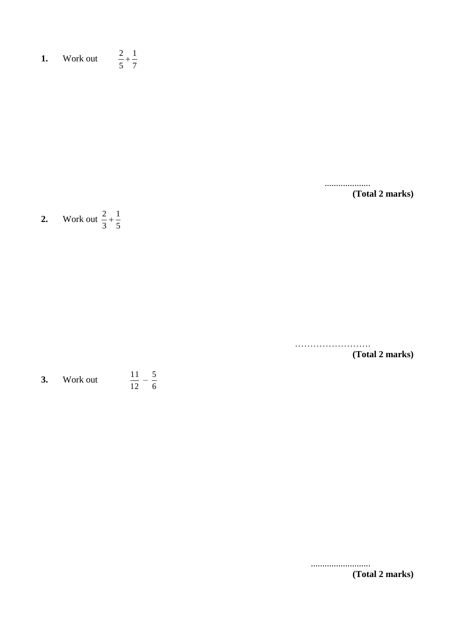**1.** Work out 7 1 5  $\frac{2}{7}$  +

> .................... **(Total 2 marks)**

**2.** Work out 5 1 3  $\frac{2}{1}$  +

> ……………………. **(Total 2 marks)**

**3.** Work out  $\frac{11}{12}$  – 12 11 6 5

> .......................... **(Total 2 marks)**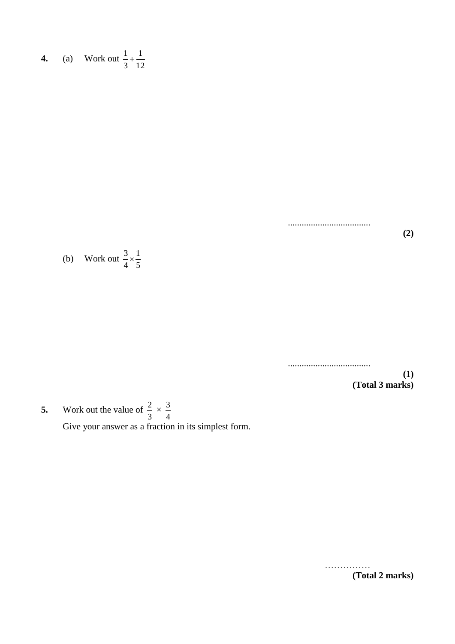**4.** (a) Work out 12 1 3  $\frac{1}{2}$  +

....................................

**(2)**



.................................... **(1) (Total 3 marks)**

**5.** Work out the value of  $\frac{2}{3} \times$ Give your answer as a fraction in its simplest form. 3 2 4 3

**(Total 2 marks)**

……………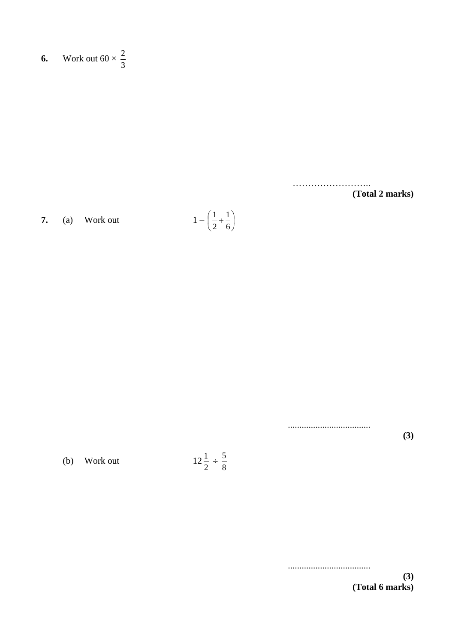**6.** Work out  $60 \times$ 3 2

……………………..

**(Total 2 marks)**

**7.** (a) Work out  $\left(\frac{1}{2}+\frac{1}{2}\right)$  $\setminus$  $\left(\frac{1}{2}+\right)$ 6 1 2 1

J J

....................................

(b) Work out 2 1 8 5

> .................................... **(3) (Total 6 marks)**

**(3)**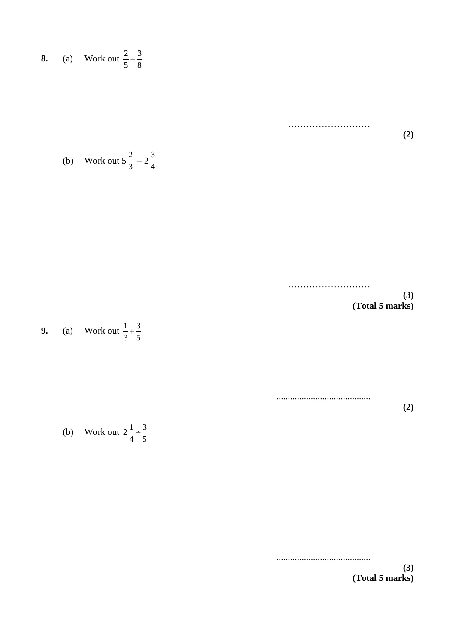**8.** (a) Work out 8 3 5  $\frac{2}{7}$  +

………………………

(b) Work out 
$$
5\frac{2}{3} - 2\frac{3}{4}
$$

……………………… **(3) (Total 5 marks)**

9. (a) Work out 
$$
\frac{1}{3} + \frac{3}{5}
$$

.........................................

**(2)**

**(2)**

(b) Work out 
$$
2\frac{1}{4} \div \frac{3}{5}
$$

.........................................

**(3) (Total 5 marks)**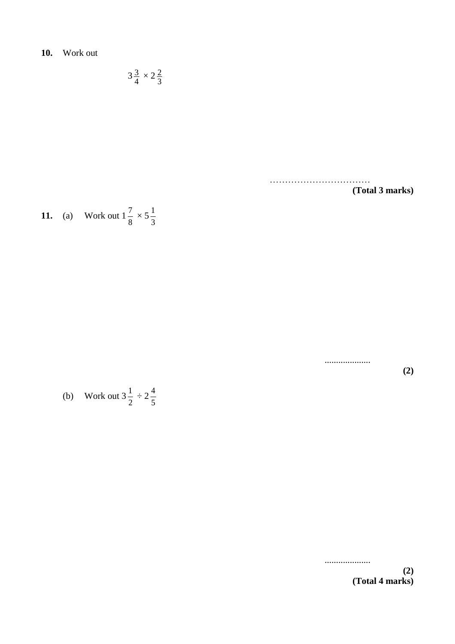**10.** Work out

$$
3\frac{3}{4} \times 2\frac{2}{3}
$$

**(Total 3 marks)**

**11.** (a) Work out 
$$
1\frac{7}{8} \times 5\frac{1}{3}
$$

**(2)**

(b) Work out 
$$
3\frac{1}{2} \div 2\frac{4}{5}
$$

....................

....................

**(2) (Total 4 marks)**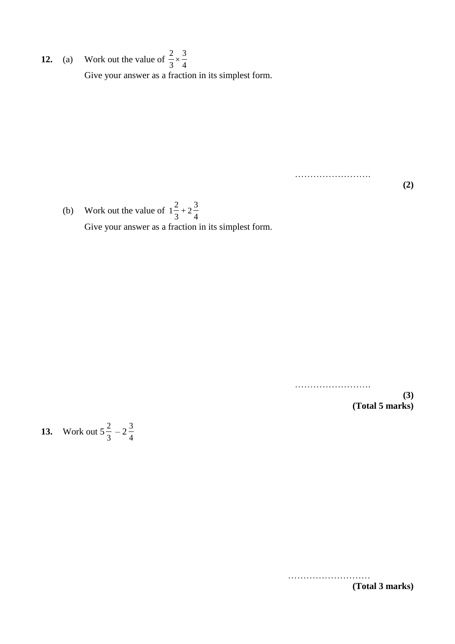**12.** (a) Work out the value of  $\frac{2}{3} \times \frac{3}{4}$ Give your answer as a fraction in its simplest form. 3  $\frac{1}{3}$   $\times$ 2

**(2)**

(b) Work out the value of  $1\frac{2}{3} + 2\frac{3}{4}$ Give your answer as a fraction in its simplest form. 3  $\frac{2}{3}+2$ 2 1

…………………….

…………………….

**(3) (Total 5 marks)**

**13.** Work out  $5\frac{2}{3} - 2$ 2 4 3

> ……………………… **(Total 3 marks)**